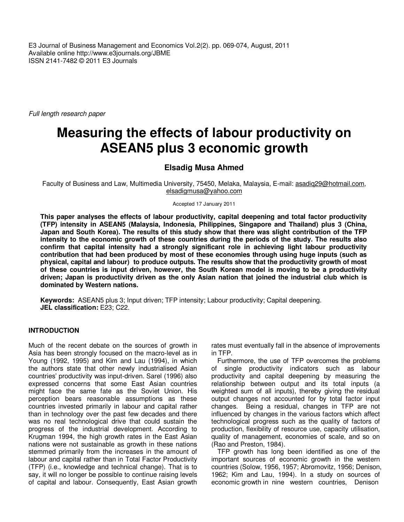E3 Journal of Business Management and Economics Vol.2(2). pp. 069-074, August, 2011 Available online http://www.e3journals.org/JBME ISSN 2141-7482 © 2011 E3 Journals

Full length research paper

# **Measuring the effects of labour productivity on ASEAN5 plus 3 economic growth**

# **Elsadig Musa Ahmed**

Faculty of Business and Law, Multimedia University, 75450, Melaka, Malaysia, E-mail: asadiq29@hotmail.com, elsadigmusa@yahoo.com

Accepted 17 January 2011

**This paper analyses the effects of labour productivity, capital deepening and total factor productivity (TFP) intensity in ASEAN5 (Malaysia, Indonesia, Philippines, Singapore and Thailand) plus 3 (China, Japan and South Korea). The results of this study show that there was slight contribution of the TFP intensity to the economic growth of these countries during the periods of the study. The results also confirm that capital intensity had a strongly significant role in achieving light labour productivity contribution that had been produced by most of these economies through using huge inputs (such as physical, capital and labour) to produce outputs. The results show that the productivity growth of most of these countries is input driven, however, the South Korean model is moving to be a productivity driven; Japan is productivity driven as the only Asian nation that joined the industrial club which is dominated by Western nations.** 

**Keywords:** ASEAN5 plus 3; Input driven; TFP intensity; Labour productivity; Capital deepening. **JEL classification:** E23; C22.

## **INTRODUCTION**

Much of the recent debate on the sources of growth in Asia has been strongly focused on the macro-level as in Young (1992, 1995) and Kim and Lau (1994), in which the authors state that other newly industrialised Asian countries' productivity was input-driven. Sarel (1996) also expressed concerns that some East Asian countries might face the same fate as the Soviet Union. His perception bears reasonable assumptions as these countries invested primarily in labour and capital rather than in technology over the past few decades and there was no real technological drive that could sustain the progress of the industrial development. According to Krugman 1994, the high growth rates in the East Asian nations were not sustainable as growth in these nations stemmed primarily from the increases in the amount of labour and capital rather than in Total Factor Productivity (TFP) (i.e., knowledge and technical change). That is to say, it will no longer be possible to continue raising levels of capital and labour. Consequently, East Asian growth

rates must eventually fall in the absence of improvements in TFP.

Furthermore, the use of TFP overcomes the problems of single productivity indicators such as labour productivity and capital deepening by measuring the relationship between output and its total inputs (a weighted sum of all inputs), thereby giving the residual output changes not accounted for by total factor input changes. Being a residual, changes in TFP are not influenced by changes in the various factors which affect technological progress such as the quality of factors of production, flexibility of resource use, capacity utilisation, quality of management, economies of scale, and so on (Rao and Preston, 1984).

TFP growth has long been identified as one of the important sources of economic growth in the western countries (Solow, 1956, 1957; Abromovitz, 1956; Denison, 1962; Kim and Lau, 1994). In a study on sources of economic growth in nine western countries, Denison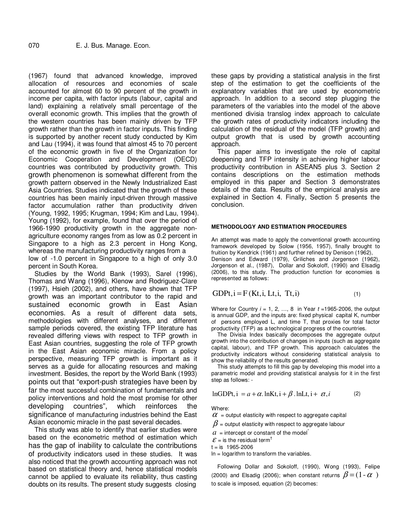(1967) found that advanced knowledge, improved allocation of resources and economies of scale accounted for almost 60 to 90 percent of the growth in income per capita, with factor inputs (labour, capital and land) explaining a relatively small percentage of the overall economic growth. This implies that the growth of the western countries has been mainly driven by TFP growth rather than the growth in factor inputs. This finding is supported by another recent study conducted by Kim and Lau (1994), it was found that almost 45 to 70 percent of the economic growth in five of the Organization for Economic Cooperation and Development (OECD) countries was contributed by productivity growth. This growth phenomenon is somewhat different from the growth pattern observed in the Newly Industrialized East Asia Countries. Studies indicated that the growth of these countries has been mainly input-driven through massive factor accumulation rather than productivity driven (Young, 1992, 1995; Krugman, 1994; Kim and Lau, 1994). Young (1992), for example, found that over the period of 1966-1990 productivity growth in the aggregate nonagriculture economy ranges from as low as 0.2 percent in Singapore to a high as 2.3 percent in Hong Kong, whereas the manufacturing productivity ranges from a low of -1.0 percent in Singapore to a high of only 3.0 percent in South Korea.

Studies by the World Bank (1993), Sarel (1996), Thomas and Wang (1996), Klenow and Rodriguez-Clare (1997), Hsieh (2002), and others, have shown that TFP growth was an important contributor to the rapid and sustained economic growth in East Asian economies. As a result of different data sets, methodologies with different analyses, and different sample periods covered, the existing TFP literature has revealed differing views with respect to TFP growth in East Asian countries, suggesting the role of TFP growth in the East Asian economic miracle. From a policy perspective, measuring TFP growth is important as it serves as a guide for allocating resources and making investment. Besides, the report by the World Bank (1993) points out that "export-push strategies have been by far the most successful combination of fundamentals and policy interventions and hold the most promise for other developing countries", which reinforces the significance of manufacturing industries behind the East Asian economic miracle in the past several decades.

This study was able to identify that earlier studies were based on the econometric method of estimation which has the gap of inability to calculate the contributions of productivity indicators used in these studies. It was also noticed that the growth accounting approach was not based on statistical theory and, hence statistical models cannot be applied to evaluate its reliability, thus casting doubts on its results. The present study suggests closing these gaps by providing a statistical analysis in the first step of the estimation to get the coefficients of the explanatory variables that are used by econometric approach. In addition to a second step plugging the parameters of the variables into the model of the above mentioned divisia translog index approach to calculate the growth rates of productivity indicators including the calculation of the residual of the model (TFP growth) and output growth that is used by growth accounting approach.

This paper aims to investigate the role of capital deepening and TFP intensity in achieving higher labour productivity contribution in ASEAN5 plus 3. Section 2 contains descriptions on the estimation methods employed in this paper and Section 3 demonstrates details of the data. Results of the empirical analysis are explained in Section 4. Finally, Section 5 presents the conclusion.

#### **METHODOLOGY AND ESTIMATION PROCEDURES**

An attempt was made to apply the conventional growth accounting framework developed by Solow (1956, 1957), finally brought to fruition by Kendrick (1961) and further refined by Denison (1962), Denison and Edward (1979), Griliches and Jorgenson (1962), Jorgenson et al., (1987), Dollar and Sokoloff, (1990) and Elsadig (2006), to this study. The production function for economies is represented as follows:

GDPt, i = F(Kt, i, Lt, i, Tt, i) 
$$
(1)
$$

Where for Country  $i = 1, 2, ..., 8$  in Year  $t = 1965-2006$ , the output is annual GDP, and the inputs are: fixed physical capital K, number of persons employed L, and time T, that proxies for total factor productivity (TFP) as a technological progress of the countries.

The Divisia Index basically decomposes the aggregate output growth into the contribution of changes in inputs (such as aggregate capital, labour), and TFP growth. This approach calculates the productivity indicators without considering statistical analysis to show the reliability of the results generated.

This study attempts to fill this gap by developing this model into a parametric model and providing statistical analysis for it in the first step as follows: -

$$
lnGDPt, i = a + \alpha. lnKt, i + \beta. lnLt, i + \alpha, i
$$
 (2)

Where:

 $\alpha$  = output elasticity with respect to aggregate capital

 $\beta$  = output elasticity with respect to aggregate labour

 $a =$  intercept or constant of the model

 $\mathcal{E}$  = is the residual term<sup>†</sup>

 $t = is 1965 - 2006$ 

ln = logarithm to transform the variables.

Following Dollar and Sokoloff, (1990), Wong (1993), Felipe (2000) and Elsadig (2006); when constant returns  $\beta = (1 - \alpha)$ to scale is imposed, equation (2) becomes: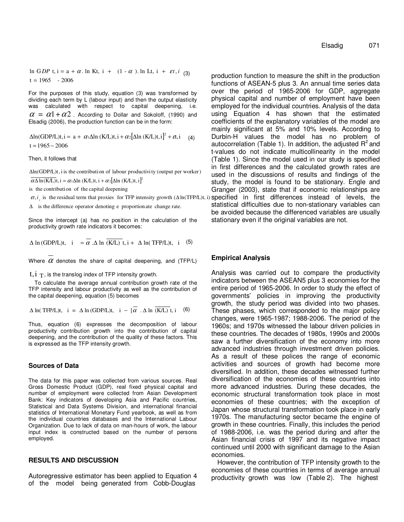$t = 1965 - 2006$  $\ln GDP$  t,  $i = a + \alpha$ .  $\ln Kt$ ,  $i + (1 - \alpha)$ .  $\ln Lt$ ,  $i + \varepsilon t$ ,  $i \neq 3$ 

For the purposes of this study, equation (3) was transformed by dividing each term by L (labour input) and then the output elasticity was calculated with respect to capital deepening, i.e.  $\alpha = \alpha_1 + \alpha_2$ . According to Dollar and Sokoloff, (1990) and Elsadig (2006), the production function can be in the form:

 $\Delta$ ln(GDP/L)t,i = a +  $\alpha$ <sub>1</sub> $\Delta$ ln (K/L)t,i +  $\alpha$ <sub>2</sub> $[\Delta$ ln (K/L)t,i]<sup>2</sup> +  $\epsilon$ t,i (4)  $t = 1965 - 2006$ 

Then, it follows that

 $Δln(GDP/L)t$ , i is the contribution of labour productivity (output per worker)

 $\overline{\alpha \Delta \ln(K/L)}$ t, i =  $\alpha_1 \Delta \ln(K/L)$ t, i +  $\alpha_2 [\Delta \ln(K/L)t, i]^2$ 

is the contribution of the capital deepening

∆ is the difference operator denoting e proportion ate change rate.

Since the intercept (a) has no position in the calculation of the productivity growth rate indicators it becomes:

 $\Delta \ln (\text{GDP/L})$ t, i =  $\alpha$ .  $\Delta \ln (\text{K/L})$ t, i +  $\Delta \ln (\text{TFP/L})$ t, i (5)

Where  $\alpha$  denotes the share of capital deepening, and (TFP/L)

 $t, i, \top$ , is the translog index of TFP intensity growth.

To calculate the average annual contribution growth rate of the TFP intensity and labour productivity as well as the contribution of the capital deepening, equation (5) becomes

 $\Delta$  ln( TFP/L)t, i =  $\Delta$  ln(GDP/L)t, i – [ $\alpha$ .  $\Delta$  ln(K/L) t, i (6)

Thus, equation (6) expresses the decomposition of labour productivity contribution growth into the contribution of capital deepening, and the contribution of the quality of these factors. This is expressed as the TFP intensity growth.

#### **Sources of Data**

The data for this paper was collected from various sources. Real Gross Domestic Product (GDP), real fixed physical capital and number of employment were collected from Asian Development Bank: Key indicators of developing Asia and Pacific countries, Statistical and Data Systems Division, and international financial statistics of International Monetary Fund yearbook, as well as from the individual countries databases and the International Labour Organization. Due to lack of data on man-hours of work, the labour input index is constructed based on the number of persons employed.

# **RESULTS AND DISCUSSION**

Autoregressive estimator has been applied to Equation 4 of the model being generated from Cobb-Douglas

 $\varepsilon t$ ,  $i_{\tau}$  is the residual term that proxies for TFP intensity growth  $(\Delta \ln(TFP/L)t, i)$  specified in first differences instead of levels, the production function to measure the shift in the production functions of ASEAN-5 plus 3. An annual time series data over the period of 1965-2006 for GDP, aggregate physical capital and number of employment have been employed for the individual countries. Analysis of the data using Equation 4 has shown that the estimated coefficients of the explanatory variables of the model are mainly significant at 5% and 10% levels. According to Durbin-H values the model has no problem of autocorrelation (Table 1). In addition, the adjusted  $R^2$  and t-values do not indicate multicollinearity in the model (Table 1). Since the model used in our study is specified in first differences and the calculated growth rates are used in the discussions of results and findings of the study, the model is found to be stationary. Engle and Granger (2003), state that if economic relationships are statistical difficulties due to non-stationary variables can be avoided because the differenced variables are usually stationary even if the original variables are not.

#### **Empirical Analysis**

Analysis was carried out to compare the productivity indicators between the ASEAN5 plus 3 economies for the entire period of 1965-2006. In order to study the effect of governments' policies in improving the productivity growth, the study period was divided into two phases. These phases, which corresponded to the major policy changes, were 1965-1987; 1988-2006. The period of the 1960s; and 1970s witnessed the labour driven policies in these countries. The decades of 1980s, 1990s and 2000s saw a further diversification of the economy into more advanced industries through investment driven policies. As a result of these polices the range of economic activities and sources of growth had become more diversified. In addition, these decades witnessed further diversification of the economies of these countries into more advanced industries. During these decades, the economic structural transformation took place in most economies of these countries; with the exception of Japan whose structural transformation took place in early 1970s. The manufacturing sector became the engine of growth in these countries. Finally, this includes the period of 1988-2006, i.e. was the period during and after the Asian financial crisis of 1997 and its negative impact continued until 2000 with significant damage to the Asian economies.

However, the contribution of TFP intensity growth to the economies of these countries in terms of average annual productivity growth was low (Table 2). The highest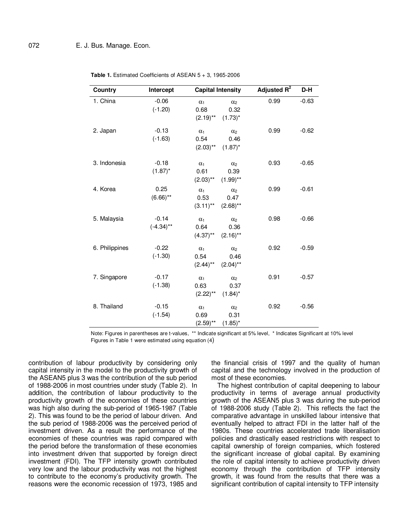| Country        | Intercept               | <b>Capital Intensity</b>                                               | Adjusted R <sup>2</sup> | D-H     |
|----------------|-------------------------|------------------------------------------------------------------------|-------------------------|---------|
| 1. China       | $-0.06$<br>$(-1.20)$    | $\alpha_1$<br>$\alpha_2$<br>0.68<br>0.32<br>$(2.19)$ **<br>$(1.73)^*$  | 0.99                    | $-0.63$ |
| 2. Japan       | $-0.13$<br>$(-1.63)$    | $\alpha_2$<br>$\alpha_1$<br>0.54<br>0.46<br>$(2.03)$ **<br>$(1.87)^*$  | 0.99                    | $-0.62$ |
| 3. Indonesia   | $-0.18$<br>$(1.87)^*$   | $\alpha_1$<br>$\alpha_2$<br>0.61<br>0.39<br>$(2.03)$ **<br>$(1.99)$ ** | 0.93                    | $-0.65$ |
| 4. Korea       | 0.25<br>$(6.66)$ **     | $\alpha_1$<br>$\alpha_2$<br>0.53<br>0.47<br>$(3.11)$ **<br>$(2.68)$ ** | 0.99                    | $-0.61$ |
| 5. Malaysia    | $-0.14$<br>$(-4.34)$ ** | $\alpha_1$<br>$\alpha_2$<br>0.64<br>0.36<br>$(4.37)$ **<br>$(2.16)$ ** | 0.98                    | $-0.66$ |
| 6. Philippines | $-0.22$<br>$(-1.30)$    | $\alpha_1$<br>$\alpha_2$<br>0.54<br>0.46<br>$(2.44)$ **<br>$(2.04)$ ** | 0.92                    | $-0.59$ |
| 7. Singapore   | $-0.17$<br>$(-1.38)$    | $\alpha_1$<br>$\alpha_2$<br>0.63<br>0.37<br>$(2.22)$ **<br>$(1.84)^*$  | 0.91                    | $-0.57$ |
| 8. Thailand    | $-0.15$<br>$(-1.54)$    | $\alpha_1$<br>$\alpha_2$<br>0.69<br>0.31<br>$(2.59)$ **<br>$(1.85)^*$  | 0.92                    | $-0.56$ |

**Table 1.** Estimated Coefficients of ASEAN 5 + 3, 1965-2006

Note: Figures in parentheses are t-values, \*\* Indicate significant at 5% level, \* Indicates Significant at 10% level Figures in Table 1 were estimated using equation (4)

contribution of labour productivity by considering only capital intensity in the model to the productivity growth of the ASEAN5 plus 3 was the contribution of the sub period of 1988-2006 in most countries under study (Table 2). In addition, the contribution of labour productivity to the productivity growth of the economies of these countries was high also during the sub-period of 1965-1987 (Table 2). This was found to be the period of labour driven. And the sub period of 1988-2006 was the perceived period of investment driven. As a result the performance of the economies of these countries was rapid compared with the period before the transformation of these economies into investment driven that supported by foreign direct investment (FDI). The TFP intensity growth contributed very low and the labour productivity was not the highest to contribute to the economy's productivity growth. The reasons were the economic recession of 1973, 1985 and

the financial crisis of 1997 and the quality of human capital and the technology involved in the production of most of these economies.

The highest contribution of capital deepening to labour productivity in terms of average annual productivity growth of the ASEAN5 plus 3 was during the sub-period of 1988-2006 study (Table 2). This reflects the fact the comparative advantage in unskilled labour intensive that eventually helped to attract FDI in the latter half of the 1980s. These countries accelerated trade liberalisation policies and drastically eased restrictions with respect to capital ownership of foreign companies, which fostered the significant increase of global capital. By examining the role of capital intensity to achieve productivity driven economy through the contribution of TFP intensity growth, it was found from the results that there was a significant contribution of capital intensity to TFP intensity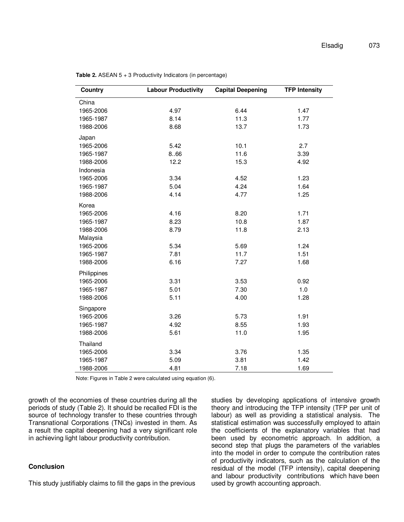| Country     | <b>Labour Productivity</b> | <b>Capital Deepening</b> | <b>TFP Intensity</b> |
|-------------|----------------------------|--------------------------|----------------------|
| China       |                            |                          |                      |
| 1965-2006   | 4.97                       | 6.44                     | 1.47                 |
| 1965-1987   | 8.14                       | 11.3                     | 1.77                 |
| 1988-2006   | 8.68                       | 13.7                     | 1.73                 |
| Japan       |                            |                          |                      |
| 1965-2006   | 5.42                       | 10.1                     | 2.7                  |
| 1965-1987   | 8.66                       | 11.6                     | 3.39                 |
| 1988-2006   | 12.2                       | 15.3                     | 4.92                 |
| Indonesia   |                            |                          |                      |
| 1965-2006   | 3.34                       | 4.52                     | 1.23                 |
| 1965-1987   | 5.04                       | 4.24                     | 1.64                 |
| 1988-2006   | 4.14                       | 4.77                     | 1.25                 |
| Korea       |                            |                          |                      |
| 1965-2006   | 4.16                       | 8.20                     | 1.71                 |
| 1965-1987   | 8.23                       | 10.8                     | 1.87                 |
| 1988-2006   | 8.79                       | 11.8                     | 2.13                 |
| Malaysia    |                            |                          |                      |
| 1965-2006   | 5.34                       | 5.69                     | 1.24                 |
| 1965-1987   | 7.81                       | 11.7                     | 1.51                 |
| 1988-2006   | 6.16                       | 7.27                     | 1.68                 |
| Philippines |                            |                          |                      |
| 1965-2006   | 3.31                       | 3.53                     | 0.92                 |
| 1965-1987   | 5.01                       | 7.30                     | 1.0                  |
| 1988-2006   | 5.11                       | 4.00                     | 1.28                 |
| Singapore   |                            |                          |                      |
| 1965-2006   | 3.26                       | 5.73                     | 1.91                 |
| 1965-1987   | 4.92                       | 8.55                     | 1.93                 |
| 1988-2006   | 5.61                       | 11.0                     | 1.95                 |
| Thailand    |                            |                          |                      |
| 1965-2006   | 3.34                       | 3.76                     | 1.35                 |
| 1965-1987   | 5.09                       | 3.81                     | 1.42                 |
| 1988-2006   | 4.81                       | 7.18                     | 1.69                 |

**Table 2.** ASEAN 5 + 3 Productivity Indicators (in percentage)

Note: Figures in Table 2 were calculated using equation (6).

growth of the economies of these countries during all the periods of study (Table 2). It should be recalled FDI is the source of technology transfer to these countries through Transnational Corporations (TNCs) invested in them. As a result the capital deepening had a very significant role in achieving light labour productivity contribution.

## **Conclusion**

This study justifiably claims to fill the gaps in the previous

studies by developing applications of intensive growth theory and introducing the TFP intensity (TFP per unit of labour) as well as providing a statistical analysis. The statistical estimation was successfully employed to attain the coefficients of the explanatory variables that had been used by econometric approach. In addition, a second step that plugs the parameters of the variables into the model in order to compute the contribution rates of productivity indicators, such as the calculation of the residual of the model (TFP intensity), capital deepening and labour productivity contributions which have been used by growth accounting approach.